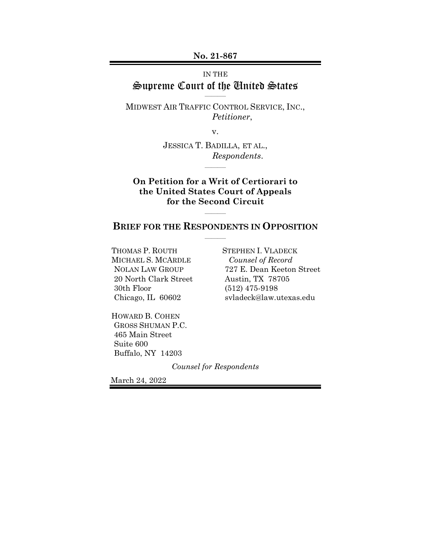**No. 21-867**

### IN THE Supreme Court of the United States  $\overline{\phantom{a}}$

MIDWEST AIR TRAFFIC CONTROL SERVICE, INC., *Petitioner*,

v.

JESSICA T. BADILLA, ET AL., *Respondents*.

 $\overline{\phantom{a}}$ 

### **On Petition for a Writ of Certiorari to the United States Court of Appeals for the Second Circuit**

### **BRIEF FOR THE RESPONDENTS IN OPPOSITION**  $\overline{\phantom{a}}$

 $\overline{\phantom{a}}$ 

THOMAS P. ROUTH MICHAEL S. MCARDLE NOLAN LAW GROUP 20 North Clark Street 30th Floor Chicago, IL 60602

STEPHEN I. VLADECK *Counsel of Record*  727 E. Dean Keeton Street Austin, TX 78705 (512) 475-9198 svladeck@law.utexas.edu

HOWARD B. COHEN GROSS SHUMAN P.C. 465 Main Street Suite 600 Buffalo, NY 14203

*Counsel for Respondents* 

March 24, 2022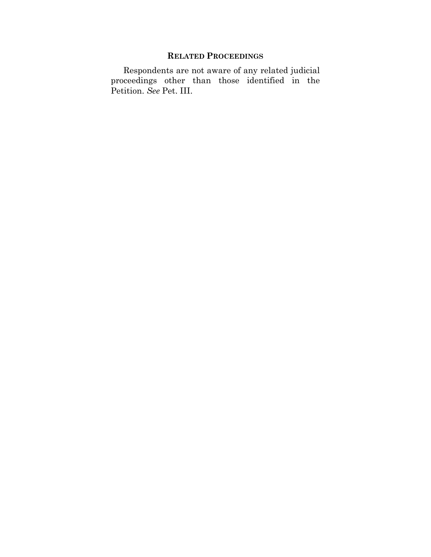## **RELATED PROCEEDINGS**

Respondents are not aware of any related judicial proceedings other than those identified in the Petition. *See* Pet. III.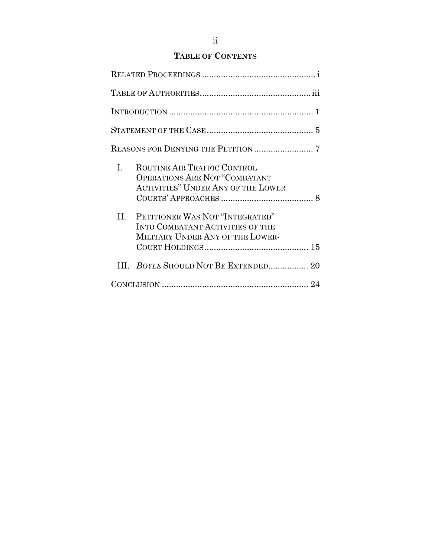## **TABLE OF CONTENTS**

| L. | ROUTINE AIR TRAFFIC CONTROL<br><b>OPERATIONS ARE NOT "COMBATANT</b><br>ACTIVITIES" UNDER ANY OF THE LOWER      |  |
|----|----------------------------------------------------------------------------------------------------------------|--|
| H. | PETITIONER WAS NOT "INTEGRATED"<br><b>INTO COMBATANT ACTIVITIES OF THE</b><br>MILITARY UNDER ANY OF THE LOWER- |  |
|    | III. BOYLE SHOULD NOT BE EXTENDED 20                                                                           |  |
|    |                                                                                                                |  |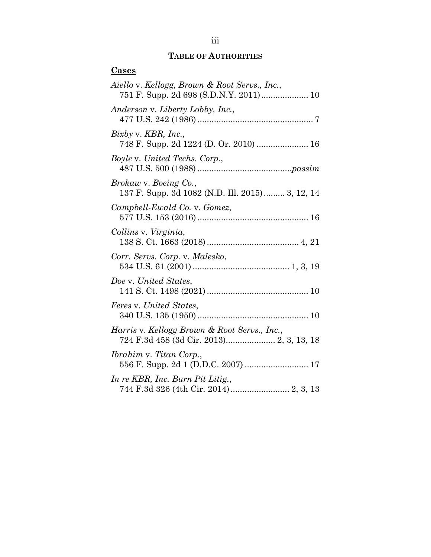## **TABLE OF AUTHORITIES**

| <u>Cases</u>                                                                             |
|------------------------------------------------------------------------------------------|
| Aiello v. Kellogg, Brown & Root Servs., Inc.,                                            |
| Anderson v. Liberty Lobby, Inc.,                                                         |
| $Bixby$ v. $KBR$ , Inc.,<br>748 F. Supp. 2d 1224 (D. Or. 2010)  16                       |
| Boyle v. United Techs. Corp.,                                                            |
| Brokaw v. Boeing Co.,<br>137 F. Supp. 3d 1082 (N.D. Ill. 2015) 3, 12, 14                 |
| Campbell-Ewald Co. v. Gomez,                                                             |
| Collins v. Virginia,                                                                     |
| Corr. Servs. Corp. v. Malesko,                                                           |
| Doe v. United States,                                                                    |
| Feres v. United States,                                                                  |
| Harris v. Kellogg Brown & Root Servs., Inc.,<br>724 F.3d 458 (3d Cir. 2013) 2, 3, 13, 18 |
| <i>Ibrahim v. Titan Corp.,</i><br>556 F. Supp. 2d 1 (D.D.C. 2007)  17                    |
| In re KBR, Inc. Burn Pit Litig.,                                                         |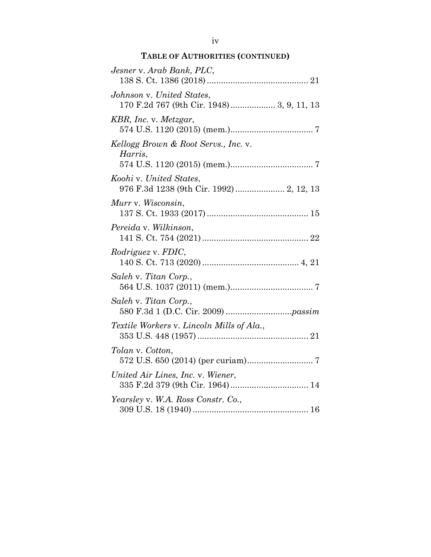# **TABLE OF AUTHORITIES (CONTINUED)**

| Jesner v. Arab Bank, PLC,                                              |
|------------------------------------------------------------------------|
| Johnson v. United States,<br>170 F.2d 767 (9th Cir. 1948) 3, 9, 11, 13 |
| KBR, Inc. v. Metzgar,                                                  |
| Kellogg Brown & Root Servs., Inc. v.<br>Harris,                        |
| Koohi v. United States,<br>976 F.3d 1238 (9th Cir. 1992)  2, 12, 13    |
| Murr v. Wisconsin,                                                     |
| Pereida v. Wilkinson,                                                  |
| <i>Rodriguez v. FDIC,</i>                                              |
| Saleh v. Titan Corp.,                                                  |
| Saleh v. Titan Corp.,                                                  |
| Textile Workers v. Lincoln Mills of Ala.,                              |
| Tolan v. Cotton,                                                       |
| United Air Lines, Inc. v. Wiener,                                      |
| Yearsley v. W.A. Ross Constr. Co.,                                     |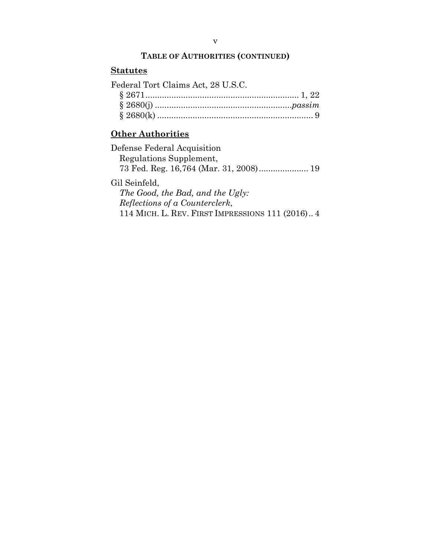## **TABLE OF AUTHORITIES (CONTINUED)**

## **Statutes**

Federal Tort Claims Act, 28 U.S.C.

## **Other Authorities**

| Defense Federal Acquisition      |
|----------------------------------|
| Regulations Supplement,          |
|                                  |
| Gil Seinfeld.                    |
| The Good, the Bad, and the Ugly: |
|                                  |

*Reflections of a Counterclerk*, 114 MICH. L. REV. FIRST IMPRESSIONS 111 (2016) .. 4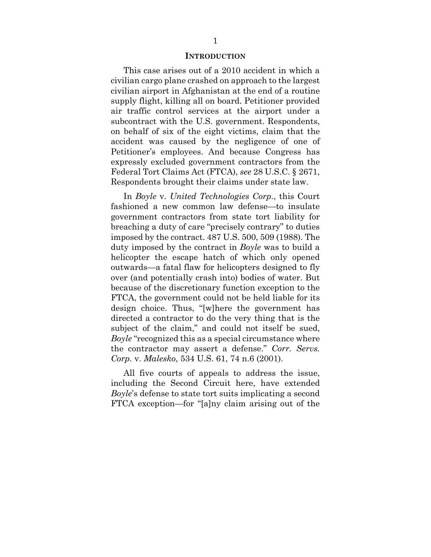### **INTRODUCTION**

This case arises out of a 2010 accident in which a civilian cargo plane crashed on approach to the largest civilian airport in Afghanistan at the end of a routine supply flight, killing all on board. Petitioner provided air traffic control services at the airport under a subcontract with the U.S. government. Respondents, on behalf of six of the eight victims, claim that the accident was caused by the negligence of one of Petitioner's employees. And because Congress has expressly excluded government contractors from the Federal Tort Claims Act (FTCA), *see* 28 U.S.C. § 2671, Respondents brought their claims under state law.

In *Boyle* v. *United Technologies Corp.*, this Court fashioned a new common law defense—to insulate government contractors from state tort liability for breaching a duty of care "precisely contrary" to duties imposed by the contract. 487 U.S. 500, 509 (1988). The duty imposed by the contract in *Boyle* was to build a helicopter the escape hatch of which only opened outwards—a fatal flaw for helicopters designed to fly over (and potentially crash into) bodies of water. But because of the discretionary function exception to the FTCA, the government could not be held liable for its design choice. Thus, "[w]here the government has directed a contractor to do the very thing that is the subject of the claim," and could not itself be sued, *Boyle* "recognized this as a special circumstance where the contractor may assert a defense." *Corr. Servs. Corp.* v. *Malesko*, 534 U.S. 61, 74 n.6 (2001).

All five courts of appeals to address the issue, including the Second Circuit here, have extended *Boyle*'s defense to state tort suits implicating a second FTCA exception—for "[a]ny claim arising out of the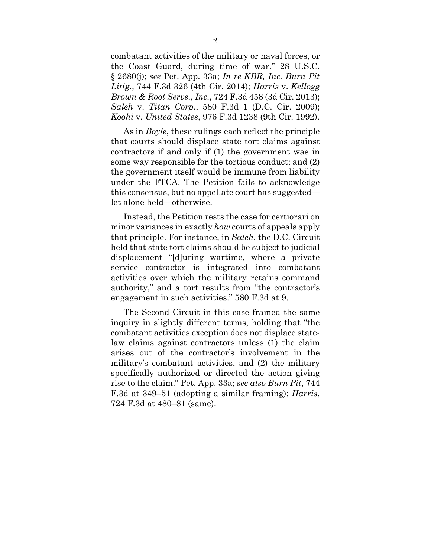combatant activities of the military or naval forces, or the Coast Guard, during time of war." 28 U.S.C. § 2680(j); *see* Pet. App. 33a; *In re KBR, Inc. Burn Pit Litig.*, 744 F.3d 326 (4th Cir. 2014); *Harris* v. *Kellogg Brown & Root Servs., Inc.*, 724 F.3d 458 (3d Cir. 2013); *Saleh* v. *Titan Corp.*, 580 F.3d 1 (D.C. Cir. 2009); *Koohi* v. *United States*, 976 F.3d 1238 (9th Cir. 1992).

As in *Boyle*, these rulings each reflect the principle that courts should displace state tort claims against contractors if and only if (1) the government was in some way responsible for the tortious conduct; and (2) the government itself would be immune from liability under the FTCA. The Petition fails to acknowledge this consensus, but no appellate court has suggested let alone held—otherwise.

Instead, the Petition rests the case for certiorari on minor variances in exactly *how* courts of appeals apply that principle. For instance, in *Saleh*, the D.C. Circuit held that state tort claims should be subject to judicial displacement "[d]uring wartime, where a private service contractor is integrated into combatant activities over which the military retains command authority," and a tort results from "the contractor's engagement in such activities." 580 F.3d at 9.

The Second Circuit in this case framed the same inquiry in slightly different terms, holding that "the combatant activities exception does not displace statelaw claims against contractors unless (1) the claim arises out of the contractor's involvement in the military's combatant activities, and (2) the military specifically authorized or directed the action giving rise to the claim." Pet. App. 33a; *see also Burn Pit*, 744 F.3d at 349–51 (adopting a similar framing); *Harris*, 724 F.3d at 480–81 (same).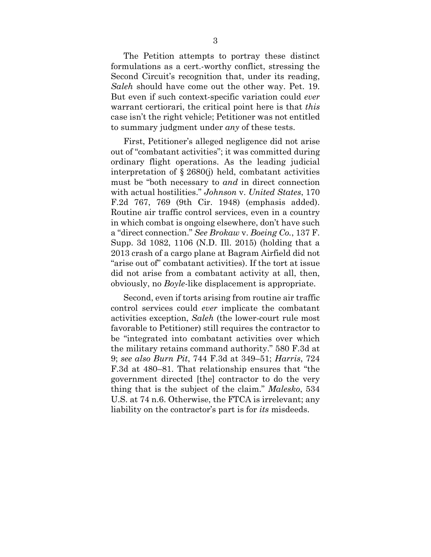The Petition attempts to portray these distinct formulations as a cert.-worthy conflict, stressing the Second Circuit's recognition that, under its reading, *Saleh* should have come out the other way. Pet. 19. But even if such context-specific variation could *ever* warrant certiorari, the critical point here is that *this* case isn't the right vehicle; Petitioner was not entitled to summary judgment under *any* of these tests.

First, Petitioner's alleged negligence did not arise out of "combatant activities"; it was committed during ordinary flight operations. As the leading judicial interpretation of § 2680(j) held, combatant activities must be "both necessary to *and* in direct connection with actual hostilities." *Johnson* v. *United States*, 170 F.2d 767, 769 (9th Cir. 1948) (emphasis added). Routine air traffic control services, even in a country in which combat is ongoing elsewhere, don't have such a "direct connection." *See Brokaw* v. *Boeing Co.*, 137 F. Supp. 3d 1082, 1106 (N.D. Ill. 2015) (holding that a 2013 crash of a cargo plane at Bagram Airfield did not "arise out of" combatant activities). If the tort at issue did not arise from a combatant activity at all, then, obviously, no *Boyle*-like displacement is appropriate.

Second, even if torts arising from routine air traffic control services could *ever* implicate the combatant activities exception, *Saleh* (the lower-court rule most favorable to Petitioner) still requires the contractor to be "integrated into combatant activities over which the military retains command authority." 580 F.3d at 9; *see also Burn Pit*, 744 F.3d at 349–51; *Harris*, 724 F.3d at 480–81. That relationship ensures that "the government directed [the] contractor to do the very thing that is the subject of the claim." *Malesko*, 534 U.S. at 74 n.6. Otherwise, the FTCA is irrelevant; any liability on the contractor's part is for *its* misdeeds.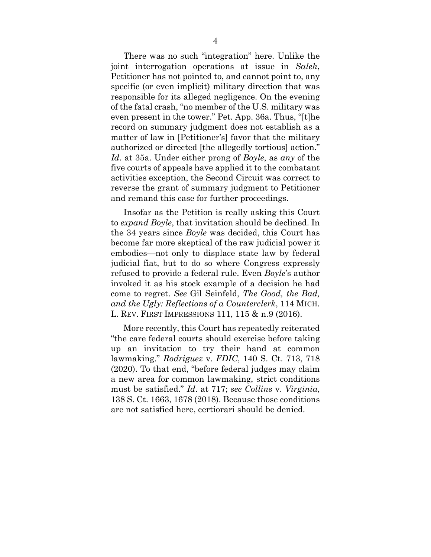There was no such "integration" here. Unlike the joint interrogation operations at issue in *Saleh*, Petitioner has not pointed to, and cannot point to, any specific (or even implicit) military direction that was responsible for its alleged negligence. On the evening of the fatal crash, "no member of the U.S. military was even present in the tower." Pet. App. 36a. Thus, "[t]he record on summary judgment does not establish as a matter of law in [Petitioner's] favor that the military authorized or directed [the allegedly tortious] action." *Id*. at 35a. Under either prong of *Boyle*, as *any* of the five courts of appeals have applied it to the combatant activities exception, the Second Circuit was correct to reverse the grant of summary judgment to Petitioner and remand this case for further proceedings.

Insofar as the Petition is really asking this Court to *expand Boyle*, that invitation should be declined. In the 34 years since *Boyle* was decided, this Court has become far more skeptical of the raw judicial power it embodies—not only to displace state law by federal judicial fiat, but to do so where Congress expressly refused to provide a federal rule. Even *Boyle*'s author invoked it as his stock example of a decision he had come to regret. *See* Gil Seinfeld, *The Good, the Bad, and the Ugly: Reflections of a Counterclerk*, 114 MICH. L. REV. FIRST IMPRESSIONS 111, 115 & n.9 (2016).

More recently, this Court has repeatedly reiterated "the care federal courts should exercise before taking up an invitation to try their hand at common lawmaking." *Rodriguez* v. *FDIC*, 140 S. Ct. 713, 718 (2020). To that end, "before federal judges may claim a new area for common lawmaking, strict conditions must be satisfied." *Id*. at 717; *see Collins* v. *Virginia*, 138 S. Ct. 1663, 1678 (2018). Because those conditions are not satisfied here, certiorari should be denied.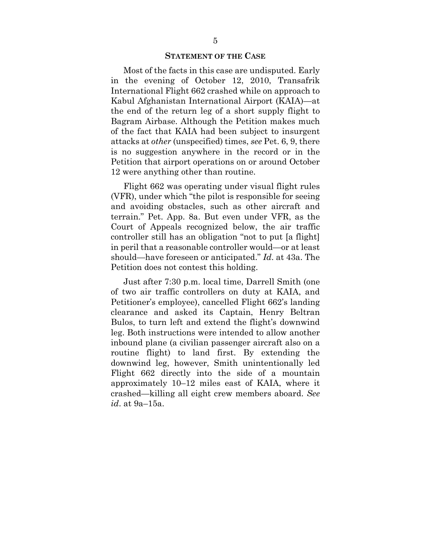### **STATEMENT OF THE CASE**

Most of the facts in this case are undisputed. Early in the evening of October 12, 2010, Transafrik International Flight 662 crashed while on approach to Kabul Afghanistan International Airport (KAIA)—at the end of the return leg of a short supply flight to Bagram Airbase. Although the Petition makes much of the fact that KAIA had been subject to insurgent attacks at *other* (unspecified) times, *see* Pet. 6, 9, there is no suggestion anywhere in the record or in the Petition that airport operations on or around October 12 were anything other than routine.

Flight 662 was operating under visual flight rules (VFR), under which "the pilot is responsible for seeing and avoiding obstacles, such as other aircraft and terrain." Pet. App. 8a. But even under VFR, as the Court of Appeals recognized below, the air traffic controller still has an obligation "not to put [a flight] in peril that a reasonable controller would—or at least should—have foreseen or anticipated." *Id*. at 43a. The Petition does not contest this holding.

Just after 7:30 p.m. local time, Darrell Smith (one of two air traffic controllers on duty at KAIA, and Petitioner's employee), cancelled Flight 662's landing clearance and asked its Captain, Henry Beltran Bulos, to turn left and extend the flight's downwind leg. Both instructions were intended to allow another inbound plane (a civilian passenger aircraft also on a routine flight) to land first. By extending the downwind leg, however, Smith unintentionally led Flight 662 directly into the side of a mountain approximately 10–12 miles east of KAIA, where it crashed—killing all eight crew members aboard. *See id*. at 9a–15a.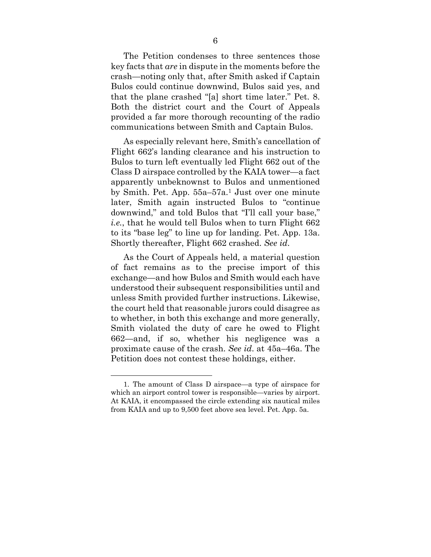The Petition condenses to three sentences those key facts that *are* in dispute in the moments before the crash—noting only that, after Smith asked if Captain Bulos could continue downwind, Bulos said yes, and that the plane crashed "[a] short time later." Pet. 8. Both the district court and the Court of Appeals provided a far more thorough recounting of the radio communications between Smith and Captain Bulos.

As especially relevant here, Smith's cancellation of Flight 662's landing clearance and his instruction to Bulos to turn left eventually led Flight 662 out of the Class D airspace controlled by the KAIA tower—a fact apparently unbeknownst to Bulos and unmentioned by Smith. Pet. App. 55a–57a.1 Just over one minute later, Smith again instructed Bulos to "continue downwind," and told Bulos that "I'll call your base," *i.e.*, that he would tell Bulos when to turn Flight 662 to its "base leg" to line up for landing. Pet. App. 13a. Shortly thereafter, Flight 662 crashed. *See id*.

As the Court of Appeals held, a material question of fact remains as to the precise import of this exchange—and how Bulos and Smith would each have understood their subsequent responsibilities until and unless Smith provided further instructions. Likewise, the court held that reasonable jurors could disagree as to whether, in both this exchange and more generally, Smith violated the duty of care he owed to Flight 662—and, if so, whether his negligence was a proximate cause of the crash. *See id*. at 45a–46a. The Petition does not contest these holdings, either.

<sup>1.</sup> The amount of Class D airspace—a type of airspace for which an airport control tower is responsible—varies by airport. At KAIA, it encompassed the circle extending six nautical miles from KAIA and up to 9,500 feet above sea level. Pet. App. 5a.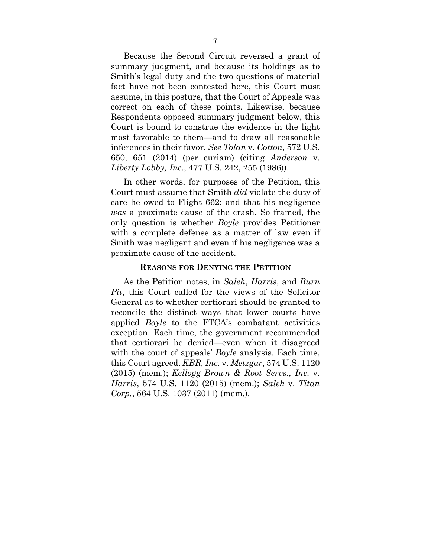Because the Second Circuit reversed a grant of summary judgment, and because its holdings as to Smith's legal duty and the two questions of material fact have not been contested here, this Court must assume, in this posture, that the Court of Appeals was correct on each of these points. Likewise, because Respondents opposed summary judgment below, this Court is bound to construe the evidence in the light most favorable to them—and to draw all reasonable inferences in their favor. *See Tolan* v. *Cotton*, 572 U.S. 650, 651 (2014) (per curiam) (citing *Anderson* v. *Liberty Lobby, Inc.*, 477 U.S. 242, 255 (1986)).

In other words, for purposes of the Petition, this Court must assume that Smith *did* violate the duty of care he owed to Flight 662; and that his negligence *was* a proximate cause of the crash. So framed, the only question is whether *Boyle* provides Petitioner with a complete defense as a matter of law even if Smith was negligent and even if his negligence was a proximate cause of the accident.

### **REASONS FOR DENYING THE PETITION**

As the Petition notes, in *Saleh*, *Harris*, and *Burn Pit*, this Court called for the views of the Solicitor General as to whether certiorari should be granted to reconcile the distinct ways that lower courts have applied *Boyle* to the FTCA's combatant activities exception. Each time, the government recommended that certiorari be denied—even when it disagreed with the court of appeals' *Boyle* analysis. Each time, this Court agreed. *KBR, Inc.* v. *Metzgar*, 574 U.S. 1120 (2015) (mem.); *Kellogg Brown & Root Servs., Inc.* v. *Harris*, 574 U.S. 1120 (2015) (mem.); *Saleh* v. *Titan Corp.*, 564 U.S. 1037 (2011) (mem.).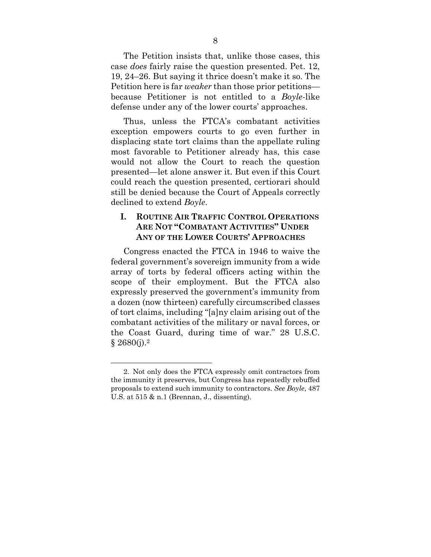The Petition insists that, unlike those cases, this case *does* fairly raise the question presented. Pet. 12, 19, 24–26. But saying it thrice doesn't make it so. The Petition here is far *weaker* than those prior petitions because Petitioner is not entitled to a *Boyle*-like defense under any of the lower courts' approaches.

Thus, unless the FTCA's combatant activities exception empowers courts to go even further in displacing state tort claims than the appellate ruling most favorable to Petitioner already has, this case would not allow the Court to reach the question presented—let alone answer it. But even if this Court could reach the question presented, certiorari should still be denied because the Court of Appeals correctly declined to extend *Boyle*.

## **I. ROUTINE AIR TRAFFIC CONTROL OPERATIONS ARE NOT "COMBATANT ACTIVITIES" UNDER ANY OF THE LOWER COURTS' APPROACHES**

Congress enacted the FTCA in 1946 to waive the federal government's sovereign immunity from a wide array of torts by federal officers acting within the scope of their employment. But the FTCA also expressly preserved the government's immunity from a dozen (now thirteen) carefully circumscribed classes of tort claims, including "[a]ny claim arising out of the combatant activities of the military or naval forces, or the Coast Guard, during time of war." 28 U.S.C.  $§ 2680(i).^2$ 

<sup>2.</sup> Not only does the FTCA expressly omit contractors from the immunity it preserves, but Congress has repeatedly rebuffed proposals to extend such immunity to contractors. *See Boyle*, 487 U.S. at 515 & n.1 (Brennan, J., dissenting).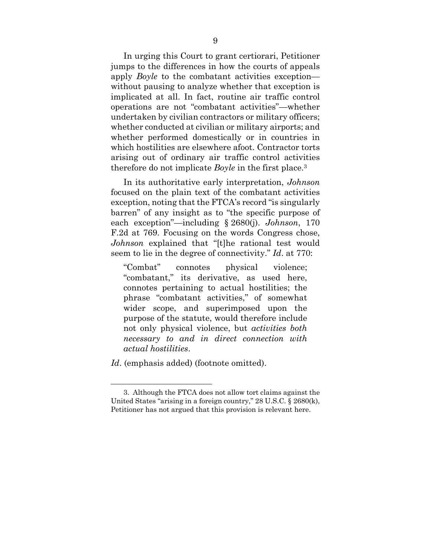In urging this Court to grant certiorari, Petitioner jumps to the differences in how the courts of appeals apply *Boyle* to the combatant activities exception without pausing to analyze whether that exception is implicated at all. In fact, routine air traffic control operations are not "combatant activities"—whether undertaken by civilian contractors or military officers; whether conducted at civilian or military airports; and whether performed domestically or in countries in which hostilities are elsewhere afoot. Contractor torts arising out of ordinary air traffic control activities therefore do not implicate *Boyle* in the first place.3

In its authoritative early interpretation, *Johnson*  focused on the plain text of the combatant activities exception, noting that the FTCA's record "is singularly barren" of any insight as to "the specific purpose of each exception"—including § 2680(j). *Johnson*, 170 F.2d at 769. Focusing on the words Congress chose, *Johnson* explained that "[t]he rational test would seem to lie in the degree of connectivity." *Id*. at 770:

"Combat" connotes physical violence; "combatant," its derivative, as used here, connotes pertaining to actual hostilities; the phrase "combatant activities," of somewhat wider scope, and superimposed upon the purpose of the statute, would therefore include not only physical violence, but *activities both necessary to and in direct connection with actual hostilities*.

*Id*. (emphasis added) (footnote omitted).

<sup>3.</sup> Although the FTCA does not allow tort claims against the United States "arising in a foreign country," 28 U.S.C. § 2680(k), Petitioner has not argued that this provision is relevant here.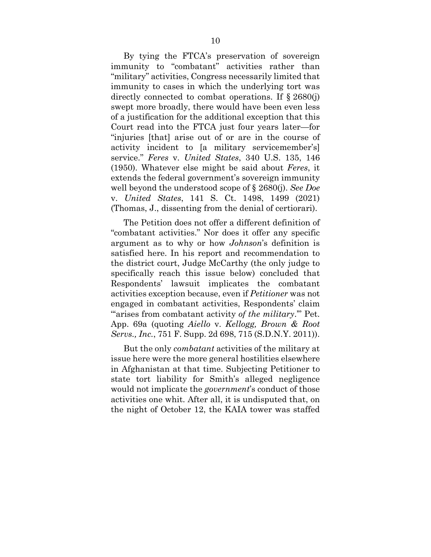By tying the FTCA's preservation of sovereign immunity to "combatant" activities rather than "military" activities, Congress necessarily limited that immunity to cases in which the underlying tort was directly connected to combat operations. If § 2680(j) swept more broadly, there would have been even less of a justification for the additional exception that this Court read into the FTCA just four years later—for "injuries [that] arise out of or are in the course of activity incident to [a military servicemember's] service." *Feres* v. *United States*, 340 U.S. 135, 146 (1950). Whatever else might be said about *Feres*, it extends the federal government's sovereign immunity well beyond the understood scope of § 2680(j). *See Doe*  v. *United States*, 141 S. Ct. 1498, 1499 (2021) (Thomas, J., dissenting from the denial of certiorari).

The Petition does not offer a different definition of "combatant activities." Nor does it offer any specific argument as to why or how *Johnson*'s definition is satisfied here. In his report and recommendation to the district court, Judge McCarthy (the only judge to specifically reach this issue below) concluded that Respondents' lawsuit implicates the combatant activities exception because, even if *Petitioner* was not engaged in combatant activities, Respondents' claim "arises from combatant activity *of the military*." Pet. App. 69a (quoting *Aiello* v. *Kellogg, Brown & Root Servs., Inc.*, 751 F. Supp. 2d 698, 715 (S.D.N.Y. 2011)).

But the only *combatant* activities of the military at issue here were the more general hostilities elsewhere in Afghanistan at that time. Subjecting Petitioner to state tort liability for Smith's alleged negligence would not implicate the *government*'s conduct of those activities one whit. After all, it is undisputed that, on the night of October 12, the KAIA tower was staffed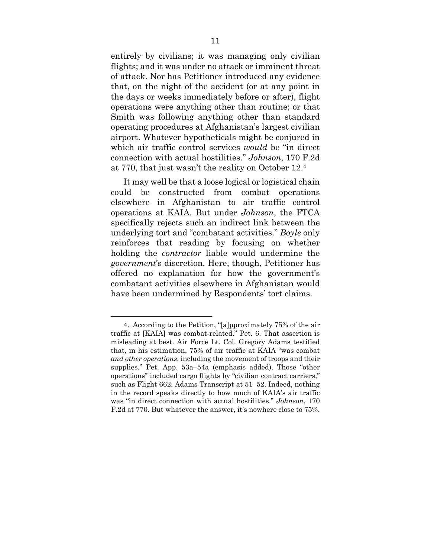entirely by civilians; it was managing only civilian flights; and it was under no attack or imminent threat of attack. Nor has Petitioner introduced any evidence that, on the night of the accident (or at any point in the days or weeks immediately before or after), flight operations were anything other than routine; or that Smith was following anything other than standard operating procedures at Afghanistan's largest civilian airport. Whatever hypotheticals might be conjured in which air traffic control services *would* be "in direct connection with actual hostilities." *Johnson*, 170 F.2d at 770, that just wasn't the reality on October 12.4

It may well be that a loose logical or logistical chain could be constructed from combat operations elsewhere in Afghanistan to air traffic control operations at KAIA. But under *Johnson*, the FTCA specifically rejects such an indirect link between the underlying tort and "combatant activities." *Boyle* only reinforces that reading by focusing on whether holding the *contractor* liable would undermine the *government*'s discretion. Here, though, Petitioner has offered no explanation for how the government's combatant activities elsewhere in Afghanistan would have been undermined by Respondents' tort claims.

<sup>4.</sup> According to the Petition, "[a]pproximately 75% of the air traffic at [KAIA] was combat-related." Pet. 6. That assertion is misleading at best. Air Force Lt. Col. Gregory Adams testified that, in his estimation, 75% of air traffic at KAIA "was combat *and other operations*, including the movement of troops and their supplies." Pet. App. 53a–54a (emphasis added). Those "other operations" included cargo flights by "civilian contract carriers," such as Flight 662. Adams Transcript at 51–52. Indeed, nothing in the record speaks directly to how much of KAIA's air traffic was "in direct connection with actual hostilities." *Johnson*, 170 F.2d at 770. But whatever the answer, it's nowhere close to 75%.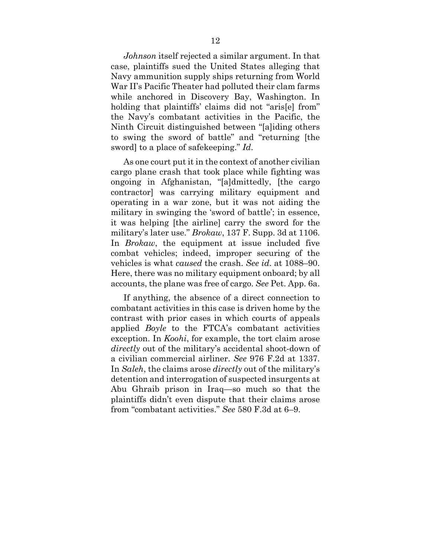*Johnson* itself rejected a similar argument. In that case, plaintiffs sued the United States alleging that Navy ammunition supply ships returning from World War II's Pacific Theater had polluted their clam farms while anchored in Discovery Bay, Washington. In holding that plaintiffs' claims did not "aris[e] from" the Navy's combatant activities in the Pacific, the Ninth Circuit distinguished between "[a]iding others to swing the sword of battle" and "returning [the sword] to a place of safekeeping." *Id*.

As one court put it in the context of another civilian cargo plane crash that took place while fighting was ongoing in Afghanistan, "[a]dmittedly, [the cargo contractor] was carrying military equipment and operating in a war zone, but it was not aiding the military in swinging the 'sword of battle'; in essence, it was helping [the airline] carry the sword for the military's later use." *Brokaw*, 137 F. Supp. 3d at 1106. In *Brokaw*, the equipment at issue included five combat vehicles; indeed, improper securing of the vehicles is what *caused* the crash. *See id*. at 1088–90. Here, there was no military equipment onboard; by all accounts, the plane was free of cargo. *See* Pet. App. 6a.

If anything, the absence of a direct connection to combatant activities in this case is driven home by the contrast with prior cases in which courts of appeals applied *Boyle* to the FTCA's combatant activities exception. In *Koohi*, for example, the tort claim arose *directly* out of the military's accidental shoot-down of a civilian commercial airliner. *See* 976 F.2d at 1337. In *Saleh*, the claims arose *directly* out of the military's detention and interrogation of suspected insurgents at Abu Ghraib prison in Iraq—so much so that the plaintiffs didn't even dispute that their claims arose from "combatant activities." *See* 580 F.3d at 6–9.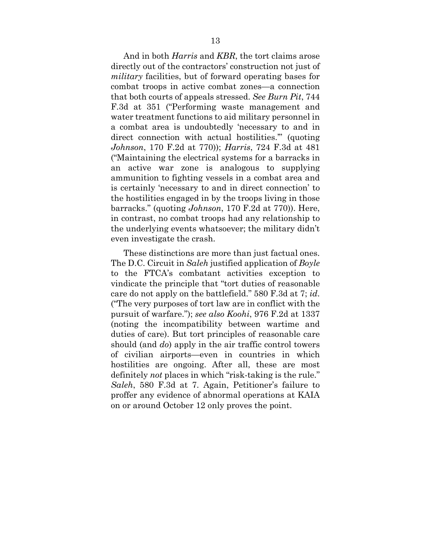And in both *Harris* and *KBR*, the tort claims arose directly out of the contractors' construction not just of *military* facilities, but of forward operating bases for combat troops in active combat zones—a connection that both courts of appeals stressed. *See Burn Pit*, 744 F.3d at 351 ("Performing waste management and water treatment functions to aid military personnel in a combat area is undoubtedly 'necessary to and in direct connection with actual hostilities.'" (quoting *Johnson*, 170 F.2d at 770)); *Harris*, 724 F.3d at 481 ("Maintaining the electrical systems for a barracks in an active war zone is analogous to supplying ammunition to fighting vessels in a combat area and is certainly 'necessary to and in direct connection' to the hostilities engaged in by the troops living in those barracks." (quoting *Johnson*, 170 F.2d at 770)). Here, in contrast, no combat troops had any relationship to the underlying events whatsoever; the military didn't even investigate the crash.

These distinctions are more than just factual ones. The D.C. Circuit in *Saleh* justified application of *Boyle* to the FTCA's combatant activities exception to vindicate the principle that "tort duties of reasonable care do not apply on the battlefield." 580 F.3d at 7; *id*. ("The very purposes of tort law are in conflict with the pursuit of warfare."); *see also Koohi*, 976 F.2d at 1337 (noting the incompatibility between wartime and duties of care). But tort principles of reasonable care should (and *do*) apply in the air traffic control towers of civilian airports—even in countries in which hostilities are ongoing. After all, these are most definitely *not* places in which "risk-taking is the rule." *Saleh*, 580 F.3d at 7. Again, Petitioner's failure to proffer any evidence of abnormal operations at KAIA on or around October 12 only proves the point.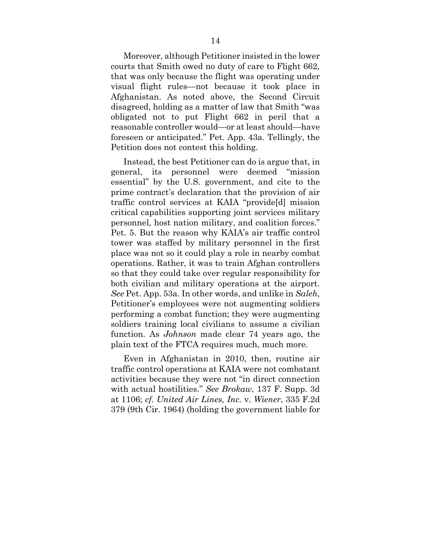Moreover, although Petitioner insisted in the lower courts that Smith owed no duty of care to Flight 662, that was only because the flight was operating under visual flight rules—not because it took place in Afghanistan. As noted above, the Second Circuit disagreed, holding as a matter of law that Smith "was obligated not to put Flight 662 in peril that a reasonable controller would—or at least should—have foreseen or anticipated." Pet. App. 43a. Tellingly, the Petition does not contest this holding.

Instead, the best Petitioner can do is argue that, in general, its personnel were deemed "mission essential" by the U.S. government, and cite to the prime contract's declaration that the provision of air traffic control services at KAIA "provide[d] mission critical capabilities supporting joint services military personnel, host nation military, and coalition forces." Pet. 5. But the reason why KAIA's air traffic control tower was staffed by military personnel in the first place was not so it could play a role in nearby combat operations. Rather, it was to train Afghan controllers so that they could take over regular responsibility for both civilian and military operations at the airport. *See* Pet. App. 53a. In other words, and unlike in *Saleh*, Petitioner's employees were not augmenting soldiers performing a combat function; they were augmenting soldiers training local civilians to assume a civilian function. As *Johnson* made clear 74 years ago, the plain text of the FTCA requires much, much more.

Even in Afghanistan in 2010, then, routine air traffic control operations at KAIA were not combatant activities because they were not "in direct connection with actual hostilities." *See Brokaw*, 137 F. Supp. 3d at 1106; *cf. United Air Lines, Inc.* v. *Wiener*, 335 F.2d 379 (9th Cir. 1964) (holding the government liable for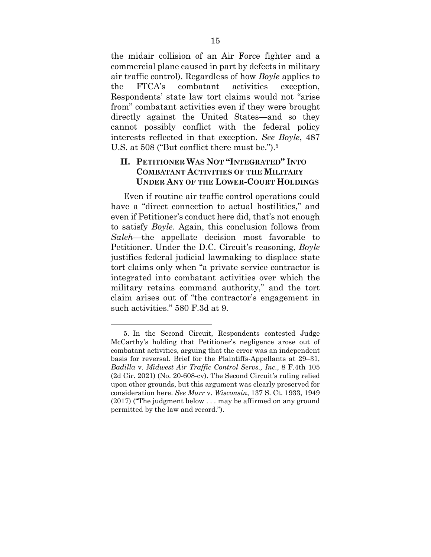the midair collision of an Air Force fighter and a commercial plane caused in part by defects in military air traffic control). Regardless of how *Boyle* applies to the FTCA's combatant activities exception, Respondents' state law tort claims would not "arise from" combatant activities even if they were brought directly against the United States—and so they cannot possibly conflict with the federal policy interests reflected in that exception. *See Boyle*, 487 U.S. at 508 ("But conflict there must be.").5

### **II. PETITIONER WAS NOT "INTEGRATED" INTO COMBATANT ACTIVITIES OF THE MILITARY UNDER ANY OF THE LOWER-COURT HOLDINGS**

Even if routine air traffic control operations could have a "direct connection to actual hostilities," and even if Petitioner's conduct here did, that's not enough to satisfy *Boyle*. Again, this conclusion follows from *Saleh*—the appellate decision most favorable to Petitioner. Under the D.C. Circuit's reasoning, *Boyle* justifies federal judicial lawmaking to displace state tort claims only when "a private service contractor is integrated into combatant activities over which the military retains command authority," and the tort claim arises out of "the contractor's engagement in such activities." 580 F.3d at 9.

<sup>5.</sup> In the Second Circuit, Respondents contested Judge McCarthy's holding that Petitioner's negligence arose out of combatant activities, arguing that the error was an independent basis for reversal. Brief for the Plaintiffs-Appellants at 29–31, *Badilla* v. *Midwest Air Traffic Control Servs., Inc.*, 8 F.4th 105 (2d Cir. 2021) (No. 20-608-cv). The Second Circuit's ruling relied upon other grounds, but this argument was clearly preserved for consideration here. *See Murr* v. *Wisconsin*, 137 S. Ct. 1933, 1949 (2017) ("The judgment below . . . may be affirmed on any ground permitted by the law and record.").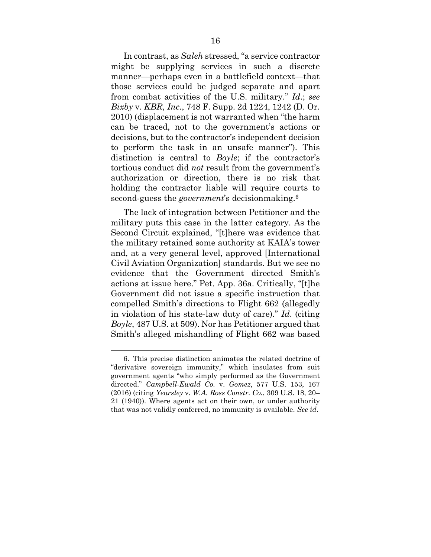In contrast, as *Saleh* stressed, "a service contractor might be supplying services in such a discrete manner—perhaps even in a battlefield context—that those services could be judged separate and apart from combat activities of the U.S. military." *Id*.; *see Bixby* v. *KBR, Inc.*, 748 F. Supp. 2d 1224, 1242 (D. Or. 2010) (displacement is not warranted when "the harm can be traced, not to the government's actions or decisions, but to the contractor's independent decision to perform the task in an unsafe manner"). This distinction is central to *Boyle*; if the contractor's tortious conduct did *not* result from the government's authorization or direction, there is no risk that holding the contractor liable will require courts to second-guess the *government*'s decisionmaking.6

The lack of integration between Petitioner and the military puts this case in the latter category. As the Second Circuit explained, "[t]here was evidence that the military retained some authority at KAIA's tower and, at a very general level, approved [International Civil Aviation Organization] standards. But we see no evidence that the Government directed Smith's actions at issue here." Pet. App. 36a. Critically, "[t]he Government did not issue a specific instruction that compelled Smith's directions to Flight 662 (allegedly in violation of his state-law duty of care)." *Id*. (citing *Boyle*, 487 U.S. at 509). Nor has Petitioner argued that Smith's alleged mishandling of Flight 662 was based

<sup>6.</sup> This precise distinction animates the related doctrine of "derivative sovereign immunity," which insulates from suit government agents "who simply performed as the Government directed." *Campbell-Ewald Co.* v. *Gomez*, 577 U.S. 153, 167 (2016) (citing *Yearsley* v. *W.A. Ross Constr. Co.*, 309 U.S. 18, 20– 21 (1940)). Where agents act on their own, or under authority that was not validly conferred, no immunity is available. *See id*.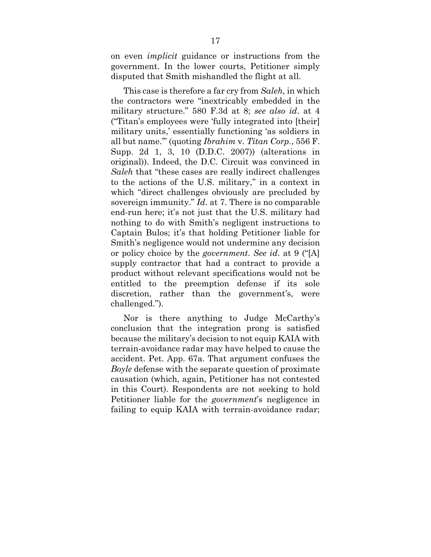on even *implicit* guidance or instructions from the government. In the lower courts, Petitioner simply disputed that Smith mishandled the flight at all.

This case is therefore a far cry from *Saleh*, in which the contractors were "inextricably embedded in the military structure." 580 F.3d at 8; *see also id*. at 4 ("Titan's employees were 'fully integrated into [their] military units,' essentially functioning 'as soldiers in all but name.'" (quoting *Ibrahim* v. *Titan Corp.*, 556 F. Supp. 2d 1, 3, 10 (D.D.C. 2007)) (alterations in original)). Indeed, the D.C. Circuit was convinced in *Saleh* that "these cases are really indirect challenges to the actions of the U.S. military," in a context in which "direct challenges obviously are precluded by sovereign immunity." *Id*. at 7. There is no comparable end-run here; it's not just that the U.S. military had nothing to do with Smith's negligent instructions to Captain Bulos; it's that holding Petitioner liable for Smith's negligence would not undermine any decision or policy choice by the *government*. *See id*. at 9 ("[A] supply contractor that had a contract to provide a product without relevant specifications would not be entitled to the preemption defense if its sole discretion, rather than the government's, were challenged.").

Nor is there anything to Judge McCarthy's conclusion that the integration prong is satisfied because the military's decision to not equip KAIA with terrain-avoidance radar may have helped to cause the accident. Pet. App. 67a. That argument confuses the *Boyle* defense with the separate question of proximate causation (which, again, Petitioner has not contested in this Court). Respondents are not seeking to hold Petitioner liable for the *government*'s negligence in failing to equip KAIA with terrain-avoidance radar;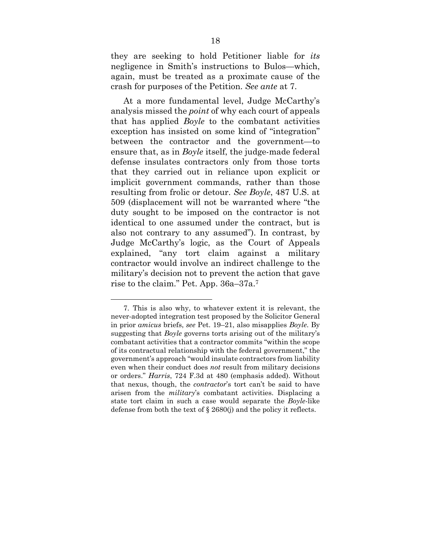they are seeking to hold Petitioner liable for *its* negligence in Smith's instructions to Bulos—which, again, must be treated as a proximate cause of the crash for purposes of the Petition. *See ante* at 7.

At a more fundamental level, Judge McCarthy's analysis missed the *point* of why each court of appeals that has applied *Boyle* to the combatant activities exception has insisted on some kind of "integration" between the contractor and the government—to ensure that, as in *Boyle* itself, the judge-made federal defense insulates contractors only from those torts that they carried out in reliance upon explicit or implicit government commands, rather than those resulting from frolic or detour. *See Boyle*, 487 U.S. at 509 (displacement will not be warranted where "the duty sought to be imposed on the contractor is not identical to one assumed under the contract, but is also not contrary to any assumed"). In contrast, by Judge McCarthy's logic, as the Court of Appeals explained, "any tort claim against a military contractor would involve an indirect challenge to the military's decision not to prevent the action that gave rise to the claim." Pet. App. 36a–37a.7

<sup>7.</sup> This is also why, to whatever extent it is relevant, the never-adopted integration test proposed by the Solicitor General in prior *amicus* briefs, *see* Pet. 19–21, also misapplies *Boyle*. By suggesting that *Boyle* governs torts arising out of the military's combatant activities that a contractor commits "within the scope of its contractual relationship with the federal government," the government's approach "would insulate contractors from liability even when their conduct does *not* result from military decisions or orders." *Harris*, 724 F.3d at 480 (emphasis added). Without that nexus, though, the *contractor*'s tort can't be said to have arisen from the *military*'s combatant activities. Displacing a state tort claim in such a case would separate the *Boyle*-like defense from both the text of § 2680(j) and the policy it reflects.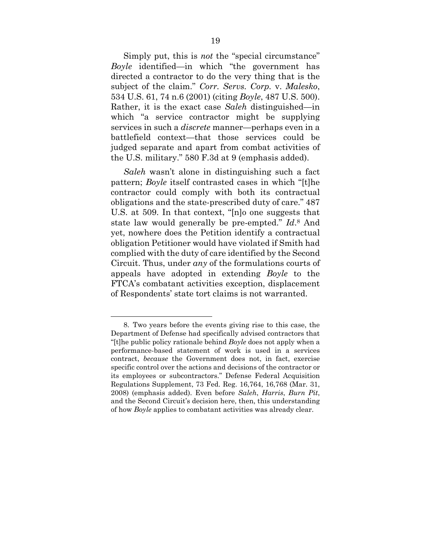Simply put, this is *not* the "special circumstance" *Boyle* identified—in which "the government has directed a contractor to do the very thing that is the subject of the claim." *Corr. Servs. Corp.* v. *Malesko*, 534 U.S. 61, 74 n.6 (2001) (citing *Boyle*, 487 U.S. 500). Rather, it is the exact case *Saleh* distinguished—in which "a service contractor might be supplying services in such a *discrete* manner—perhaps even in a battlefield context—that those services could be judged separate and apart from combat activities of the U.S. military." 580 F.3d at 9 (emphasis added).

*Saleh* wasn't alone in distinguishing such a fact pattern; *Boyle* itself contrasted cases in which "[t]he contractor could comply with both its contractual obligations and the state-prescribed duty of care." 487 U.S. at 509. In that context, "[n]o one suggests that state law would generally be pre-empted." *Id*.8 And yet, nowhere does the Petition identify a contractual obligation Petitioner would have violated if Smith had complied with the duty of care identified by the Second Circuit. Thus, under *any* of the formulations courts of appeals have adopted in extending *Boyle* to the FTCA's combatant activities exception, displacement of Respondents' state tort claims is not warranted.

<sup>8.</sup> Two years before the events giving rise to this case, the Department of Defense had specifically advised contractors that "[t]he public policy rationale behind *Boyle* does not apply when a performance-based statement of work is used in a services contract, *because* the Government does not, in fact, exercise specific control over the actions and decisions of the contractor or its employees or subcontractors." Defense Federal Acquisition Regulations Supplement, 73 Fed. Reg. 16,764, 16,768 (Mar. 31, 2008) (emphasis added). Even before *Saleh*, *Harris*, *Burn Pit*, and the Second Circuit's decision here, then, this understanding of how *Boyle* applies to combatant activities was already clear.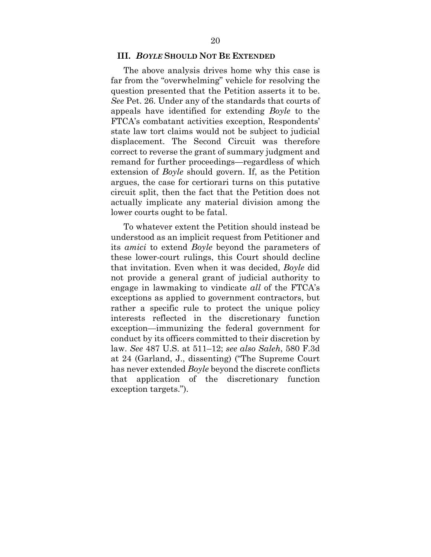### **III.** *BOYLE* **SHOULD NOT BE EXTENDED**

The above analysis drives home why this case is far from the "overwhelming" vehicle for resolving the question presented that the Petition asserts it to be. *See* Pet. 26. Under any of the standards that courts of appeals have identified for extending *Boyle* to the FTCA's combatant activities exception, Respondents' state law tort claims would not be subject to judicial displacement. The Second Circuit was therefore correct to reverse the grant of summary judgment and remand for further proceedings—regardless of which extension of *Boyle* should govern. If, as the Petition argues, the case for certiorari turns on this putative circuit split, then the fact that the Petition does not actually implicate any material division among the lower courts ought to be fatal.

To whatever extent the Petition should instead be understood as an implicit request from Petitioner and its *amici* to extend *Boyle* beyond the parameters of these lower-court rulings, this Court should decline that invitation. Even when it was decided, *Boyle* did not provide a general grant of judicial authority to engage in lawmaking to vindicate *all* of the FTCA's exceptions as applied to government contractors, but rather a specific rule to protect the unique policy interests reflected in the discretionary function exception—immunizing the federal government for conduct by its officers committed to their discretion by law. *See* 487 U.S. at 511–12; *see also Saleh*, 580 F.3d at 24 (Garland, J., dissenting) ("The Supreme Court has never extended *Boyle* beyond the discrete conflicts that application of the discretionary function exception targets.").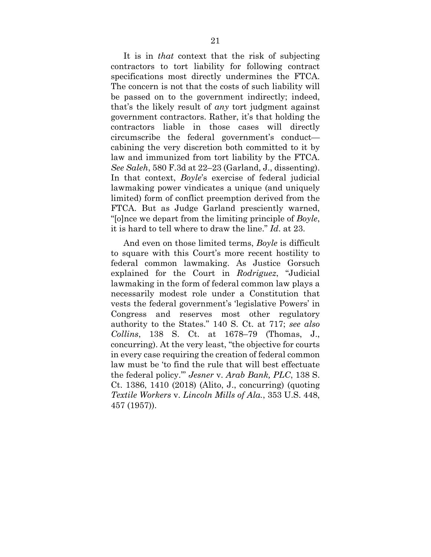It is in *that* context that the risk of subjecting contractors to tort liability for following contract specifications most directly undermines the FTCA. The concern is not that the costs of such liability will be passed on to the government indirectly; indeed, that's the likely result of *any* tort judgment against government contractors. Rather, it's that holding the contractors liable in those cases will directly circumscribe the federal government's conduct cabining the very discretion both committed to it by law and immunized from tort liability by the FTCA. *See Saleh*, 580 F.3d at 22–23 (Garland, J., dissenting). In that context, *Boyle*'s exercise of federal judicial lawmaking power vindicates a unique (and uniquely limited) form of conflict preemption derived from the FTCA. But as Judge Garland presciently warned, "[o]nce we depart from the limiting principle of *Boyle*, it is hard to tell where to draw the line." *Id*. at 23.

And even on those limited terms, *Boyle* is difficult to square with this Court's more recent hostility to federal common lawmaking. As Justice Gorsuch explained for the Court in *Rodriguez*, "Judicial lawmaking in the form of federal common law plays a necessarily modest role under a Constitution that vests the federal government's 'legislative Powers' in Congress and reserves most other regulatory authority to the States." 140 S. Ct. at 717; *see also Collins*, 138 S. Ct. at 1678–79 (Thomas, J., concurring). At the very least, "the objective for courts in every case requiring the creation of federal common law must be 'to find the rule that will best effectuate the federal policy.'" *Jesner* v. *Arab Bank, PLC*, 138 S. Ct. 1386, 1410 (2018) (Alito, J., concurring) (quoting *Textile Workers* v. *Lincoln Mills of Ala.*, 353 U.S. 448, 457 (1957)).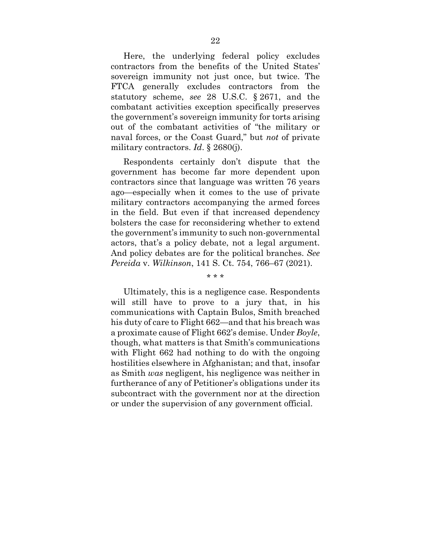Here, the underlying federal policy excludes contractors from the benefits of the United States' sovereign immunity not just once, but twice. The FTCA generally excludes contractors from the statutory scheme, *see* 28 U.S.C. § 2671, and the combatant activities exception specifically preserves the government's sovereign immunity for torts arising out of the combatant activities of "the military or naval forces, or the Coast Guard," but *not* of private military contractors. *Id*. § 2680(j).

Respondents certainly don't dispute that the government has become far more dependent upon contractors since that language was written 76 years ago—especially when it comes to the use of private military contractors accompanying the armed forces in the field. But even if that increased dependency bolsters the case for reconsidering whether to extend the government's immunity to such non-governmental actors, that's a policy debate, not a legal argument. And policy debates are for the political branches. *See Pereida* v. *Wilkinson*, 141 S. Ct. 754, 766–67 (2021).

Ultimately, this is a negligence case. Respondents will still have to prove to a jury that, in his communications with Captain Bulos, Smith breached his duty of care to Flight 662—and that his breach was a proximate cause of Flight 662's demise. Under *Boyle*, though, what matters is that Smith's communications with Flight 662 had nothing to do with the ongoing hostilities elsewhere in Afghanistan; and that, insofar as Smith *was* negligent, his negligence was neither in furtherance of any of Petitioner's obligations under its subcontract with the government nor at the direction or under the supervision of any government official.

#### \* \* \*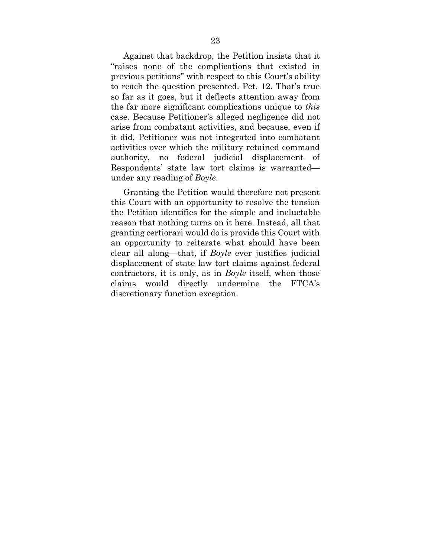Against that backdrop, the Petition insists that it "raises none of the complications that existed in previous petitions" with respect to this Court's ability to reach the question presented. Pet. 12. That's true so far as it goes, but it deflects attention away from the far more significant complications unique to *this* case. Because Petitioner's alleged negligence did not arise from combatant activities, and because, even if it did, Petitioner was not integrated into combatant activities over which the military retained command authority, no federal judicial displacement of Respondents' state law tort claims is warranted under any reading of *Boyle*.

Granting the Petition would therefore not present this Court with an opportunity to resolve the tension the Petition identifies for the simple and ineluctable reason that nothing turns on it here. Instead, all that granting certiorari would do is provide this Court with an opportunity to reiterate what should have been clear all along—that, if *Boyle* ever justifies judicial displacement of state law tort claims against federal contractors, it is only, as in *Boyle* itself, when those claims would directly undermine the FTCA's discretionary function exception.